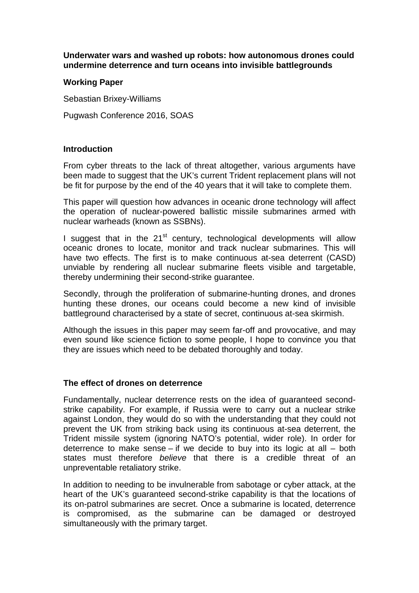**Underwater wars and washed up robots: how autonomous drones could undermine deterrence and turn oceans into invisible battlegrounds**

## **Working Paper**

Sebastian Brixey-Williams

Pugwash Conference 2016, SOAS

## **Introduction**

From cyber threats to the lack of threat altogether, various arguments have been made to suggest that the UK's current Trident replacement plans will not be fit for purpose by the end of the 40 years that it will take to complete them.

This paper will question how advances in oceanic drone technology will affect the operation of nuclear-powered ballistic missile submarines armed with nuclear warheads (known as SSBNs).

I suggest that in the  $21<sup>st</sup>$  century, technological developments will allow oceanic drones to locate, monitor and track nuclear submarines. This will have two effects. The first is to make continuous at-sea deterrent (CASD) unviable by rendering all nuclear submarine fleets visible and targetable, thereby undermining their second-strike guarantee.

Secondly, through the proliferation of submarine-hunting drones, and drones hunting these drones, our oceans could become a new kind of invisible battleground characterised by a state of secret, continuous at-sea skirmish.

Although the issues in this paper may seem far-off and provocative, and may even sound like science fiction to some people, I hope to convince you that they are issues which need to be debated thoroughly and today.

## **The effect of drones on deterrence**

Fundamentally, nuclear deterrence rests on the idea of guaranteed secondstrike capability. For example, if Russia were to carry out a nuclear strike against London, they would do so with the understanding that they could not prevent the UK from striking back using its continuous at-sea deterrent, the Trident missile system (ignoring NATO's potential, wider role). In order for deterrence to make sense – if we decide to buy into its logic at all – both states must therefore *believe* that there is a credible threat of an unpreventable retaliatory strike.

In addition to needing to be invulnerable from sabotage or cyber attack, at the heart of the UK's guaranteed second-strike capability is that the locations of its on-patrol submarines are secret. Once a submarine is located, deterrence is compromised, as the submarine can be damaged or destroyed simultaneously with the primary target.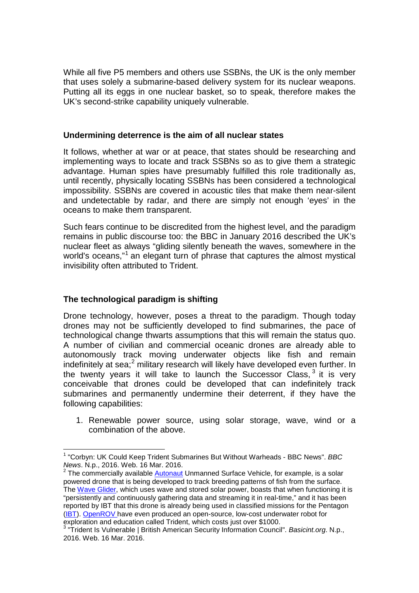While all five P5 members and others use SSBNs, the UK is the only member that uses solely a submarine-based delivery system for its nuclear weapons. Putting all its eggs in one nuclear basket, so to speak, therefore makes the UK's second-strike capability uniquely vulnerable.

### **Undermining deterrence is the aim of all nuclear states**

It follows, whether at war or at peace, that states should be researching and implementing ways to locate and track SSBNs so as to give them a strategic advantage. Human spies have presumably fulfilled this role traditionally as, until recently, physically locating SSBNs has been considered a technological impossibility. SSBNs are covered in acoustic tiles that make them near-silent and undetectable by radar, and there are simply not enough 'eyes' in the oceans to make them transparent.

Such fears continue to be discredited from the highest level, and the paradigm remains in public discourse too: the BBC in January 2016 described the UK's nuclear fleet as always "gliding silently beneath the waves, somewhere in the world's oceans,"<sup>[1](#page-1-0)</sup> an elegant turn of phrase that captures the almost mystical invisibility often attributed to Trident.

# **The technological paradigm is shifting**

Drone technology, however, poses a threat to the paradigm. Though today drones may not be sufficiently developed to find submarines, the pace of technological change thwarts assumptions that this will remain the status quo. A number of civilian and commercial oceanic drones are already able to autonomously track moving underwater objects like fish and remain indefinitely at sea;<sup>[2](#page-1-1)</sup> military research will likely have developed even further. In the twenty years it will take to launch the Successor Class,  $3$  it is very conceivable that drones could be developed that can indefinitely track submarines and permanently undermine their deterrent, if they have the following capabilities:

1. Renewable power source, using solar storage, wave, wind or a combination of the above.

<span id="page-1-1"></span>powered drone that is being developed to track breeding patterns of fish from the surface. The [Wave Glider,](http://liquid-robotics.com/technology/waveglider/how-it-works.html) which uses wave and stored solar power, boasts that when functioning it is "persistently and continuously gathering data and streaming it in real-time," and it has been reported by IBT that this drone is already being used in classified missions for the Pentagon [\(IBT\)](http://www.ibtimes.co.uk/underwater-drones-being-used-detect-enemy-submarines-piracy-illegal-fishing-video-1526173). [OpenROV h](http://www.openrov.com/products/1-trident.html)ave even produced an open-source, low-cost underwater robot for exploration and education called Trident, which costs just over \$1000.

<span id="page-1-0"></span><sup>1</sup> "Corbyn: UK Could Keep Trident Submarines But Without Warheads - BBC News". *BBC News.* N.p., 2016. Web. 16 Mar. 2016.<br><sup>2</sup> The commercially available [Autonaut](http://www.autonautusv.com/) Unmanned Surface Vehicle, for example, is a solar

<span id="page-1-2"></span><sup>3</sup> "Trident Is Vulnerable | British American Security Information Council". *Basicint.org*. N.p., 2016. Web. 16 Mar. 2016.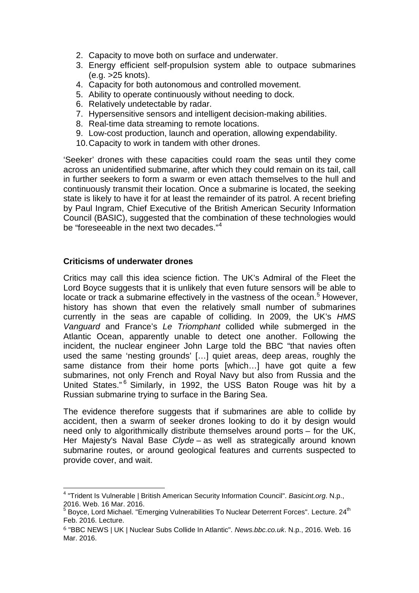- 2. Capacity to move both on surface and underwater.
- 3. Energy efficient self-propulsion system able to outpace submarines (e.g. >25 knots).
- 4. Capacity for both autonomous and controlled movement.
- 5. Ability to operate continuously without needing to dock.
- 6. Relatively undetectable by radar.
- 7. Hypersensitive sensors and intelligent decision-making abilities.
- 8. Real-time data streaming to remote locations.
- 9. Low-cost production, launch and operation, allowing expendability.
- 10.Capacity to work in tandem with other drones.

'Seeker' drones with these capacities could roam the seas until they come across an unidentified submarine, after which they could remain on its tail, call in further seekers to form a swarm or even attach themselves to the hull and continuously transmit their location. Once a submarine is located, the seeking state is likely to have it for at least the remainder of its patrol. A recent briefing by Paul Ingram, Chief Executive of the British American Security Information Council (BASIC), suggested that the combination of these technologies would be "foreseeable in the next two decades."<sup>[4](#page-2-0)</sup>

# **Criticisms of underwater drones**

Critics may call this idea science fiction. The UK's Admiral of the Fleet the Lord Boyce suggests that it is unlikely that even future sensors will be able to locate or track a submarine effectively in the vastness of the ocean.<sup>[5](#page-2-1)</sup> However, history has shown that even the relatively small number of submarines currently in the seas are capable of colliding. In 2009, the UK's *HMS Vanguard* and France's *Le Triomphant* collided while submerged in the Atlantic Ocean, apparently unable to detect one another. Following the incident, the nuclear engineer John Large told the BBC "that navies often used the same 'nesting grounds' […] quiet areas, deep areas, roughly the same distance from their home ports [which…] have got quite a few submarines, not only French and Royal Navy but also from Russia and the United States." [6](#page-2-2) Similarly, in 1992, the USS Baton Rouge was hit by a Russian submarine trying to surface in the Baring Sea.

The evidence therefore suggests that if submarines are able to collide by accident, then a swarm of seeker drones looking to do it by design would need only to algorithmically distribute themselves around ports – for the UK, Her Majesty's Naval Base *Clyde* – as well as strategically around known submarine routes, or around geological features and currents suspected to provide cover, and wait.

<span id="page-2-0"></span><sup>4</sup> "Trident Is Vulnerable | British American Security Information Council". *Basicint.org*. N.p., 2016. Web. 16 Mar. 2016.

<span id="page-2-1"></span> $5$  Boyce, Lord Michael. "Emerging Vulnerabilities To Nuclear Deterrent Forces". Lecture. 24<sup>th</sup> Feb. 2016. Lecture.

<span id="page-2-2"></span><sup>6</sup> "BBC NEWS | UK | Nuclear Subs Collide In Atlantic". *News.bbc.co.uk*. N.p., 2016. Web. 16 Mar. 2016.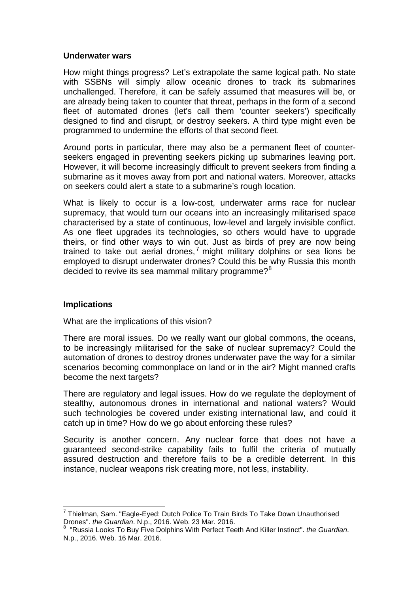#### **Underwater wars**

How might things progress? Let's extrapolate the same logical path. No state with SSBNs will simply allow oceanic drones to track its submarines unchallenged. Therefore, it can be safely assumed that measures will be, or are already being taken to counter that threat, perhaps in the form of a second fleet of automated drones (let's call them 'counter seekers') specifically designed to find and disrupt, or destroy seekers. A third type might even be programmed to undermine the efforts of that second fleet.

Around ports in particular, there may also be a permanent fleet of counterseekers engaged in preventing seekers picking up submarines leaving port. However, it will become increasingly difficult to prevent seekers from finding a submarine as it moves away from port and national waters. Moreover, attacks on seekers could alert a state to a submarine's rough location.

What is likely to occur is a low-cost, underwater arms race for nuclear supremacy, that would turn our oceans into an increasingly militarised space characterised by a state of continuous, low-level and largely invisible conflict. As one fleet upgrades its technologies, so others would have to upgrade theirs, or find other ways to win out. Just as birds of prey are now being trained to take out aerial drones,<sup>[7](#page-3-0)</sup> might military dolphins or sea lions be employed to disrupt underwater drones? Could this be why Russia this month decided to revive its sea mammal military programme?<sup>[8](#page-3-1)</sup>

#### **Implications**

What are the implications of this vision?

There are moral issues. Do we really want our global commons, the oceans, to be increasingly militarised for the sake of nuclear supremacy? Could the automation of drones to destroy drones underwater pave the way for a similar scenarios becoming commonplace on land or in the air? Might manned crafts become the next targets?

There are regulatory and legal issues. How do we regulate the deployment of stealthy, autonomous drones in international and national waters? Would such technologies be covered under existing international law, and could it catch up in time? How do we go about enforcing these rules?

Security is another concern. Any nuclear force that does not have a guaranteed second-strike capability fails to fulfil the criteria of mutually assured destruction and therefore fails to be a credible deterrent. In this instance, nuclear weapons risk creating more, not less, instability.

<span id="page-3-0"></span> $^7$  Thielman, Sam. "Eagle-Eyed: Dutch Police To Train Birds To Take Down Unauthorised<br>Drones", *the Guardian*, N.p., 2016, Web. 23 Mar. 2016.

<span id="page-3-1"></span>Drones". *the Guardian*. N.p., 2016. Web. 23 Mar. 2016.<br><sup>8</sup> "Russia Looks To Buy Five Dolphins With Perfect Teeth And Killer Instinct". *the Guardian*. N.p., 2016. Web. 16 Mar. 2016.